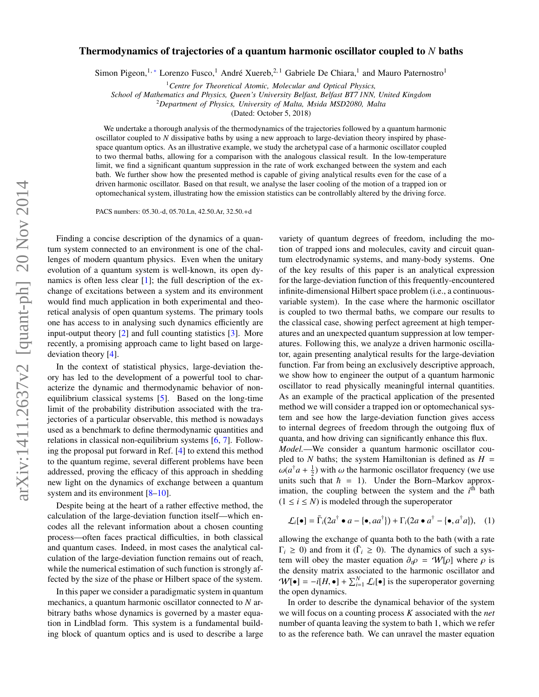## arXiv:1411.2637v2 [quant-ph] 20 Nov 2014 arXiv:1411.2637v2 [quant-ph] 20 Nov 2014

## Thermodynamics of trajectories of a quantum harmonic oscillator coupled to *N* baths

Simon Pigeon,<sup>1,\*</sup> Lorenzo Fusco,<sup>1</sup> André Xuereb,<sup>2,1</sup> Gabriele De Chiara,<sup>1</sup> and Mauro Paternostro<sup>1</sup>

<sup>1</sup>*Centre for Theoretical Atomic, Molecular and Optical Physics,*

*School of Mathematics and Physics, Queen's University Belfast, Belfast BT7 1NN, United Kingdom*

<sup>2</sup>*Department of Physics, University of Malta, Msida MSD2080, Malta*

(Dated: October 5, 2018)

We undertake a thorough analysis of the thermodynamics of the trajectories followed by a quantum harmonic oscillator coupled to *N* dissipative baths by using a new approach to large-deviation theory inspired by phasespace quantum optics. As an illustrative example, we study the archetypal case of a harmonic oscillator coupled to two thermal baths, allowing for a comparison with the analogous classical result. In the low-temperature limit, we find a significant quantum suppression in the rate of work exchanged between the system and each bath. We further show how the presented method is capable of giving analytical results even for the case of a driven harmonic oscillator. Based on that result, we analyse the laser cooling of the motion of a trapped ion or optomechanical system, illustrating how the emission statistics can be controllably altered by the driving force.

PACS numbers: 05.30.-d, 05.70.Ln, 42.50.Ar, 32.50.+d

Finding a concise description of the dynamics of a quantum system connected to an environment is one of the challenges of modern quantum physics. Even when the unitary evolution of a quantum system is well-known, its open dynamics is often less clear  $[1]$ ; the full description of the exchange of excitations between a system and its environment would find much application in both experimental and theoretical analysis of open quantum systems. The primary tools one has access to in analysing such dynamics efficiently are input-output theory [\[2\]](#page-4-2) and full counting statistics [\[3\]](#page-4-3). More recently, a promising approach came to light based on largedeviation theory [\[4\]](#page-4-4).

In the context of statistical physics, large-deviation theory has led to the development of a powerful tool to characterize the dynamic and thermodynamic behavior of nonequilibrium classical systems [\[5\]](#page-4-5). Based on the long-time limit of the probability distribution associated with the trajectories of a particular observable, this method is nowadays used as a benchmark to define thermodynamic quantities and relations in classical non-equilibrium systems [\[6,](#page-4-6) [7\]](#page-4-7). Following the proposal put forward in Ref. [\[4\]](#page-4-4) to extend this method to the quantum regime, several different problems have been addressed, proving the efficacy of this approach in shedding new light on the dynamics of exchange between a quantum system and its environment  $[8-10]$  $[8-10]$ .

Despite being at the heart of a rather effective method, the calculation of the large-deviation function itself—which encodes all the relevant information about a chosen counting process—often faces practical difficulties, in both classical and quantum cases. Indeed, in most cases the analytical calculation of the large-deviation function remains out of reach, while the numerical estimation of such function is strongly affected by the size of the phase or Hilbert space of the system.

In this paper we consider a paradigmatic system in quantum mechanics, a quantum harmonic oscillator connected to *N* arbitrary baths whose dynamics is governed by a master equation in Lindblad form. This system is a fundamental building block of quantum optics and is used to describe a large

variety of quantum degrees of freedom, including the motion of trapped ions and molecules, cavity and circuit quantum electrodynamic systems, and many-body systems. One of the key results of this paper is an analytical expression for the large-deviation function of this frequently-encountered infinite-dimensional Hilbert space problem (i.e., a continuousvariable system). In the case where the harmonic oscillator is coupled to two thermal baths, we compare our results to the classical case, showing perfect agreement at high temperatures and an unexpected quantum suppression at low temperatures. Following this, we analyze a driven harmonic oscillator, again presenting analytical results for the large-deviation function. Far from being an exclusively descriptive approach, we show how to engineer the output of a quantum harmonic oscillator to read physically meaningful internal quantities. As an example of the practical application of the presented method we will consider a trapped ion or optomechanical system and see how the large-deviation function gives access to internal degrees of freedom through the outgoing flux of quanta, and how driving can significantly enhance this flux.

*Model.*—We consider a quantum harmonic oscillator coupled to *N* baths; the system Hamiltonian is defined as  $H =$  $\omega(a^{\dagger}a + \frac{1}{2})$  with  $\omega$  the harmonic oscillator frequency (we use<br>units such that  $\hbar = 1$ ). Under the Born–Markov approxunits such that  $\hbar = 1$ . Under the Born–Markov approximation, the coupling between the system and the *i*<sup>th</sup> bath  $(1 \le i \le N)$  is modeled through the superoperator

$$
\mathcal{L}_i[\bullet] = \bar{\Gamma}_i(2a^\dagger \bullet a - \{\bullet, aa^\dagger\}) + \Gamma_i(2a \bullet a^\dagger - \{\bullet, a^\dagger a\}), \quad (1)
$$

allowing the exchange of quanta both to the bath (with a rate  $\Gamma_i \geq 0$ ) and from it ( $\overline{\Gamma}_i \geq 0$ ). The dynamics of such a system will obey the master equation  $\partial_t \rho = W[\rho]$  where  $\rho$  is the density matrix associated to the harmonic oscillator and  $W[\bullet] = -i[H, \bullet] + \sum_{i=1}^{N} \mathcal{L}_i[\bullet]$  is the superoperator governing the open dynamics the open dynamics.

In order to describe the dynamical behavior of the system we will focus on a counting process *K* associated with the *net* number of quanta leaving the system to bath 1, which we refer to as the reference bath. We can unravel the master equation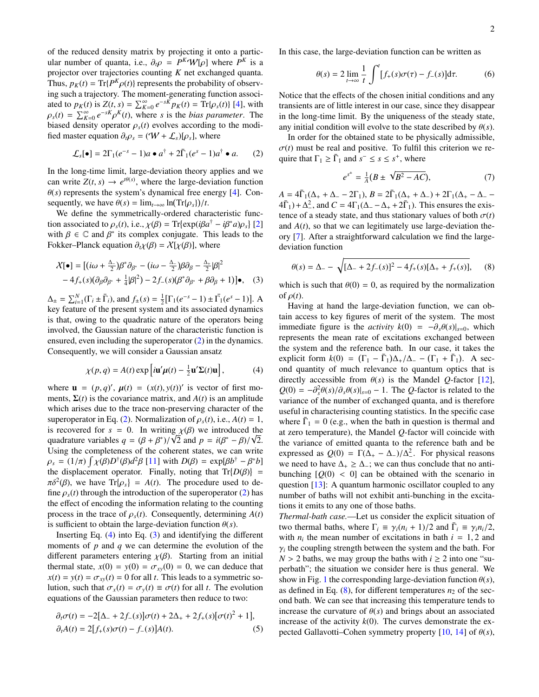of the reduced density matrix by projecting it onto a particular number of quanta, i.e.,  $\partial_t \rho = P^K W[\rho]$  where  $P^K$  is a<br>projector over trajectories counting K net exchanged quanta projector over trajectories counting *K* net exchanged quanta. Thus,  $p_K(t) = \text{Tr}\{P^K \rho(t)\}$  represents the probability of observ-<br>ing such a trajectory. The moment-generating function associing such a trajectory. The moment-generating function associated to  $p_K(t)$  is  $Z(t, s) = \sum_{k=0}^{\infty} e^{-s\overline{K}} p_K(t) = \text{Tr}{\{\rho_s(t)\}}$  [\[4\]](#page-4-4), with  $\rho_s(t) = \sum_{k=0}^{\infty} e^{-s\overline{K}} \rho_k(t)$  where s is the *higs parameter*. The  $\rho_s(t) = \sum_{K=0}^{\infty} e^{-sK} \rho^K(t)$ , where *s* is the *bias parameter*. The biased density operator *o* (*t*) evolves according to the modibiased density operator  $\rho_s(t)$  evolves according to the modi-<br>fied master equation  $\partial_t \rho = (W + f) [\rho]$  where fied master equation  $\partial_t \rho_s = (\mathbf{W} + \mathcal{L}_s)[\rho_s]$ , where

<span id="page-1-0"></span>
$$
\mathcal{L}_s[\bullet] = 2\Gamma_1(e^{-s} - 1)a \bullet a^\dagger + 2\overline{\Gamma}_1(e^s - 1)a^\dagger \bullet a. \tag{2}
$$

In the long-time limit, large-deviation theory applies and we can write  $Z(t, s) \to e^{t\theta(s)}$ , where the large-deviation function  $\theta(s)$  represents the system's dynamical free energy [4]. Con- $\theta(s)$  represents the system's dynamical free energy [\[4\]](#page-4-4). Consequently, we have  $\theta(s) = \lim_{t \to \infty} \ln(\text{Tr}\{\rho_s\})/t$ .<br>We define the symmetrically-ordered channel

We define the symmetrically-ordered characteristic function associated to  $\rho_s(t)$ , i.e.,  $\chi(\beta) = \text{Tr}\{\exp(i\beta a^\dagger - i\beta^* a)\rho_s\}$  [\[2\]](#page-4-2)<br>with  $\beta \in \mathbb{C}$  and  $\beta^*$  its complex conjugate. This leads to the with  $\beta \in \mathbb{C}$  and  $\beta^*$  its complex conjugate. This leads to the Fokker-Planck equation  $\partial y(\beta) = X[y(\beta)]$  where Fokker–Planck equation  $\partial_t \chi(\beta) = X[\chi(\beta)]$ , where

$$
\mathcal{X}[\bullet] = \left[ (i\omega + \frac{\Delta}{2})\beta^*\partial_{\beta^*} - (i\omega - \frac{\Delta}{2})\beta\partial_{\beta} - \frac{\Delta_+}{2}|\beta|^2 - 4f_+(s)(\partial_{\beta}\partial_{\beta^*} + \frac{1}{4}|\beta|^2) - 2f_-(s)(\beta^*\partial_{\beta^*} + \beta\partial_{\beta} + 1) \right] \bullet, \quad (3)
$$

 $\Delta_{\pm} = \sum_{i=1}^{N} (\Gamma_i \pm \bar{\Gamma}_i)$ , and  $f_{\pm}(s) = \frac{1}{2} [\Gamma_1(e^{-s} - 1) \pm \bar{\Gamma_1}(e^{s} - 1)]$ . A key feature of the present system and its associated dynamics is that, owing to the quadratic nature of the operators being involved, the Gaussian nature of the characteristic function is ensured, even including the superoperator [\(2\)](#page-1-0) in the dynamics. Consequently, we will consider a Gaussian ansatz

$$
\chi(p,q) = A(t) \exp\left[i\mathbf{u}'\boldsymbol{\mu}(t) - \frac{1}{2}\mathbf{u}'\boldsymbol{\Sigma}(t)\mathbf{u}\right],\tag{4}
$$

where  $\mathbf{u} = (p, q)^\prime$ ,  $\mu(t) = (x(t), y(t))^\prime$  is vector of first mo-<br>ments  $\mathbf{\Sigma}(t)$  is the covariance matrix and  $A(t)$  is an amplitude ments,  $\Sigma(t)$  is the covariance matrix, and  $A(t)$  is an amplitude which arises due to the trace non-preserving character of the superoperator in Eq. [\(2\)](#page-1-0). Normalization of  $\rho_s(t)$ , i.e.,  $A(t) = 1$ , is recovered for  $s = 0$ . In writing  $\chi(\beta)$  we introduced the quadrature variables  $q = (B + B^*)/\sqrt{2}$  and  $p = i(B^* - B)/\sqrt{2}$ quadrature variables  $q = (\beta + \beta^*)/\sqrt{2}$  and  $p = i(\beta^* - \beta)/\sqrt{2}$ .<br>Heing the completeness of the coherent states, we can write Using the completeness of the coherent states, we can write  $\rho_s = (1/\pi) \int \chi(\beta) D^{\dagger}(\beta) d^2\beta$  [\[11\]](#page-4-10) with *D*( $\beta$ ) = exp[ $\beta b^{\dagger} - \beta^* b$ ]<br>the displacement operator. Finally, noting that  $Tr[D(\beta)]$ the displacement operator. Finally, noting that  $Tr[D(\beta)] = \pi \delta^2(\beta)$ , we have  $Tr[\rho(\beta) = A(t)$ . The procedure used to de- $\pi \delta^2(\beta)$ , we have  $\text{Tr}[\rho_s] = A(t)$ . The procedure used to de-<br>fine *o* (*t*) through the introduction of the superoperator (2) has ρ*s* fine  $\rho_s(t)$  through the introduction of the superoperator [\(2\)](#page-1-0) has<br>the effect of encoding the information relating to the counting the effect of encoding the information relating to the counting process in the trace of  $\rho_s(t)$ . Consequently, determining  $A(t)$ is sufficient to obtain the large-deviation function  $\theta(s)$ .

Inserting Eq.  $(4)$  into Eq.  $(3)$  and identifying the different moments of *p* and *q* we can determine the evolution of the different parameters entering  $\chi(\beta)$ . Starting from an initial thermal state,  $x(0) = y(0) = \sigma_{xy}(0) = 0$ , we can deduce that  $x(t) = y(t) = \sigma_{xy}(t) = 0$  for all *t*. This leads to a symmetric solution, such that  $\sigma_x(t) = \sigma_y(t) \equiv \sigma(t)$  for all *t*. The evolution equations of the Gaussian parameters then reduce to two:

$$
\partial_t \sigma(t) = -2[\Delta_- + 2f_-(s)]\sigma(t) + 2\Delta_+ + 2f_+(s)[\sigma(t)^2 + 1],
$$
  
\n
$$
\partial_t A(t) = 2[f_+(s)\sigma(t) - f_-(s)]A(t).
$$
\n(5)

In this case, the large-deviation function can be written as

$$
\theta(s) = 2 \lim_{t \to \infty} \frac{1}{t} \int_0^t [f_+(s)\sigma(\tau) - f_-(s)]d\tau.
$$
 (6)

Notice that the effects of the chosen initial conditions and any transients are of little interest in our case, since they disappear in the long-time limit. By the uniqueness of the steady state, any initial condition will evolve to the state described by  $\theta(s)$ .

In order for the obtained state to be physically admissible,  $\sigma(t)$  must be real and positive. To fulfil this criterion we require that  $\Gamma_1 \geq \overline{\Gamma}_1$  and  $s^- \leq s \leq s^+$ , where

$$
e^{s^{\pm}} = \frac{1}{A}(B \pm \sqrt{B^2 - AC}), \tag{7}
$$

 $A = 4\bar{\Gamma}_1(\Delta_+ + \Delta_- - 2\Gamma_1), B = 2\bar{\Gamma}_1(\Delta_+ + \Delta_-) + 2\Gamma_1(\Delta_+ - \Delta_- 4\overline{\Gamma}_1$ ) +  $\Delta^2$ , and  $C = 4\Gamma_1(\Delta - \Delta_+ + 2\overline{\Gamma}_1)$ . This ensures the existence of a steady state, and thus stationary values of both  $\sigma(t)$ and  $A(t)$ , so that we can legitimately use large-deviation theory [\[7\]](#page-4-7). After a straightforward calculation we find the largedeviation function

<span id="page-1-3"></span>
$$
\theta(s) = \Delta_- - \sqrt{[\Delta_- + 2f_-(s)]^2 - 4f_+(s)[\Delta_+ + f_+(s)]},\tag{8}
$$

<span id="page-1-2"></span>which is such that  $\theta(0) = 0$ , as required by the normalization of  $\rho(t)$ .

<span id="page-1-1"></span>Having at hand the large-deviation function, we can obtain access to key figures of merit of the system. The most immediate figure is the *activity*  $k(0) = -\partial_s \theta(s)|_{s=0}$ , which represents the mean rate of excitations exchanged between the system and the reference bath. In our case, it takes the explicit form  $k(0) = (\Gamma_1 - \bar{\Gamma}_1)\Delta_+/\Delta_- - (\Gamma_1 + \bar{\Gamma}_1)$ . A sec-<br>ond quantity of much relevance to quantum optics that is ond quantity of much relevance to quantum optics that is directly accessible from  $\theta(s)$  is the Mandel *Q*-factor [\[12\]](#page-4-11),  $Q(0) = -\partial_s^2 \theta(s)/\partial_s \theta(s)|_{s=0} - 1$ . The *Q*-factor is related to the variance of the number of exchanged quanta and is therefore variance of the number of exchanged quanta, and is therefore useful in characterising counting statistics. In the specific case where  $\bar{\Gamma}_1 = 0$  (e.g., when the bath in question is thermal and at zero temperature), the Mandel *Q*-factor will coincide with the variance of emitted quanta to the reference bath and be expressed as  $Q(0) = \Gamma(\Delta_+ - \Delta_-)/\Delta_-^2$ . For physical reasons we need to have  $\Delta > \Delta$  ; we can thus conclude that no antiwe need to have  $\Delta_+ \geq \Delta_-$ ; we can thus conclude that no antibunching  $[Q(0) < 0]$  can be obtained with the scenario in question [\[13\]](#page-4-12): A quantum harmonic oscillator coupled to any number of baths will not exhibit anti-bunching in the excitations it emits to any one of those baths.

<span id="page-1-4"></span>*Thermal-bath case.*—Let us consider the explicit situation of two thermal baths, where  $\Gamma_i \equiv \gamma_i (n_i + 1)/2$  and  $\overline{\Gamma}_i \equiv \gamma_i n_i/2$ , with *n*, the mean number of excitations in bath  $i = 1, 2$  and with  $n_i$  the mean number of excitations in bath  $i = 1, 2$  and  $\alpha$ , the coupling strength between the system and the bath. For *y<sub>i</sub>* the coupling strength between the system and the bath. For  $N > 2$  baths, we may group the baths with  $i \ge 2$  into one "su-<br>perhath": the situation we consider here is thus general. We  $\gamma_i$  the coupling strength between the system and the bath. For perbath"; the situation we consider here is thus general. We show in Fig. [1](#page-2-0) the corresponding large-deviation function  $\theta(s)$ , as defined in Eq.  $(8)$ , for different temperatures  $n_2$  of the second bath. We can see that increasing this temperature tends to increase the curvature of  $\theta(s)$  and brings about an associated increase of the activity  $k(0)$ . The curves demonstrate the ex-pected Gallavotti–Cohen symmetry property [\[10,](#page-4-9) [14\]](#page-4-13) of  $\theta(s)$ ,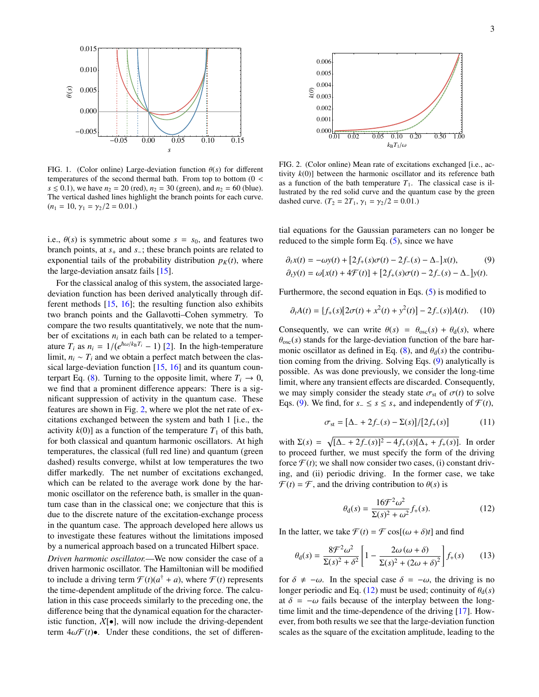

<span id="page-2-0"></span>FIG. 1. (Color online) Large-deviation function  $\theta(s)$  for different temperatures of the second thermal bath. From top to bottom  $(0, 1)$  $s \le 0.1$ , we have  $n_2 = 20$  (red),  $n_2 = 30$  (green), and  $n_2 = 60$  (blue). The vertical dashed lines highlight the branch points for each curve.  $(n_1 = 10, \gamma_1 = \gamma_2/2 = 0.01.)$ 

i.e.,  $\theta(s)$  is symmetric about some  $s = s_0$ , and features two branch points, at *s*<sup>+</sup> and *s*−; these branch points are related to exponential tails of the probability distribution  $p<sub>K</sub>(t)$ , where the large-deviation ansatz fails [\[15\]](#page-4-14).

For the classical analog of this system, the associated largedeviation function has been derived analytically through different methods [\[15,](#page-4-14) [16\]](#page-4-15); the resulting function also exhibits two branch points and the Gallavotti–Cohen symmetry. To compare the two results quantitatively, we note that the number of excitations  $n_i$  in each bath can be related to a temperature  $T_i$  as  $n_i = 1/(e^{\hbar \omega/k_B T_i} - 1)$  [\[2\]](#page-4-2). In the high-temperature limit  $n_i \propto T_i$  and we obtain a perfect match between the claslimit,  $n_i \sim T_i$  and we obtain a perfect match between the classical large-deviation function [\[15,](#page-4-14) [16\]](#page-4-15) and its quantum coun-terpart Eq. [\(8\)](#page-1-3). Turning to the opposite limit, where  $T_i \rightarrow 0$ , we find that a prominent difference appears: There is a significant suppression of activity in the quantum case. These features are shown in Fig. [2,](#page-2-1) where we plot the net rate of excitations exchanged between the system and bath 1 [i.e., the activity  $k(0)$ ] as a function of the temperature  $T_1$  of this bath, for both classical and quantum harmonic oscillators. At high temperatures, the classical (full red line) and quantum (green dashed) results converge, whilst at low temperatures the two differ markedly. The net number of excitations exchanged, which can be related to the average work done by the harmonic oscillator on the reference bath, is smaller in the quantum case than in the classical one; we conjecture that this is due to the discrete nature of the excitation-exchange process in the quantum case. The approach developed here allows us to investigate these features without the limitations imposed by a numerical approach based on a truncated Hilbert space.

*Driven harmonic oscillator.*—We now consider the case of a driven harmonic oscillator. The Hamiltonian will be modified to include a driving term  $\mathcal{F}(t)(a^{\dagger} + a)$ , where  $\mathcal{F}(t)$  represents the time-dependent amplitude of the driving force. The calculation in this case proceeds similarly to the preceding one, the difference being that the dynamical equation for the characteristic function,  $X[\bullet]$ , will now include the driving-dependent term  $4\omega \mathcal{F}(t)$ . Under these conditions, the set of differen-



<span id="page-2-1"></span>FIG. 2. (Color online) Mean rate of excitations exchanged [i.e., activity *k*(0)] between the harmonic oscillator and its reference bath as a function of the bath temperature  $T_1$ . The classical case is illustrated by the red solid curve and the quantum case by the green dashed curve. ( $T_2 = 2T_1$ ,  $\gamma_1 = \gamma_2/2 = 0.01$ .)

tial equations for the Gaussian parameters can no longer be reduced to the simple form Eq.  $(5)$ , since we have

<span id="page-2-2"></span>
$$
\partial_t x(t) = -\omega y(t) + [2f_+(s)\sigma(t) - 2f_-(s) - \Delta_-]x(t), \qquad (9)
$$
  

$$
\partial_t y(t) = \omega[x(t) + 4\mathcal{F}(t)] + [2f_+(s)\sigma(t) - 2f_-(s) - \Delta_-]y(t).
$$

Furthermore, the second equation in Eqs. [\(5\)](#page-1-4) is modified to

$$
\partial_t A(t) = \{ f_+(s) [2\sigma(t) + x^2(t) + y^2(t)] - 2f_-(s) \} A(t). \tag{10}
$$

Consequently, we can write  $\theta(s) = \theta_{osc}(s) + \theta_{d}(s)$ , where  $\theta_{\rm osc}(s)$  stands for the large-deviation function of the bare har-monic oscillator as defined in Eq. [\(8\)](#page-1-3), and  $\theta_d(s)$  the contribution coming from the driving. Solving Eqs. [\(9\)](#page-2-2) analytically is possible. As was done previously, we consider the long-time limit, where any transient effects are discarded. Consequently, we may simply consider the steady state  $\sigma_{st}$  of  $\sigma(t)$  to solve Eqs. [\(9\)](#page-2-2). We find, for  $s_-\leq s\leq s_+$  and independently of  $\mathcal{F}(t)$ ,

$$
\sigma_{st} = [\Delta_- + 2f_-(s) - \Sigma(s)]/[2f_+(s)] \tag{11}
$$

with Σ(*s*) =  $\sqrt{[\Delta_- + 2f_-(s)]^2 - 4f_+(s)[\Delta_+ + f_+(s)]}$ . In order to proceed further, we must specify the form of the driving force  $\mathcal{F}(t)$ ; we shall now consider two cases, (i) constant driving, and (ii) periodic driving. In the former case, we take  $\mathcal{F}(t) = \mathcal{F}$ , and the driving contribution to  $\theta(s)$  is

<span id="page-2-3"></span>
$$
\theta_{\rm d}(s) = \frac{16\mathcal{F}^2 \omega^2}{\Sigma(s)^2 + \omega^2} f_+(s). \tag{12}
$$

In the latter, we take  $\mathcal{F}(t) = \mathcal{F} \cos[(\omega + \delta)t]$  and find

$$
\theta_{\rm d}(s) = \frac{8\mathcal{F}^2 \omega^2}{\Sigma(s)^2 + \delta^2} \left[ 1 - \frac{2\omega(\omega + \delta)}{\Sigma(s)^2 + (2\omega + \delta)^2} \right] f_+(s) \tag{13}
$$

for  $\delta \neq -\omega$ . In the special case  $\delta = -\omega$ , the driving is no longer periodic and Eq. [\(12\)](#page-2-3) must be used; continuity of  $\theta_d(s)$ at  $\delta = -\omega$  fails because of the interplay between the longtime limit and the time-dependence of the driving [\[17\]](#page-4-16). However, from both results we see that the large-deviation function scales as the square of the excitation amplitude, leading to the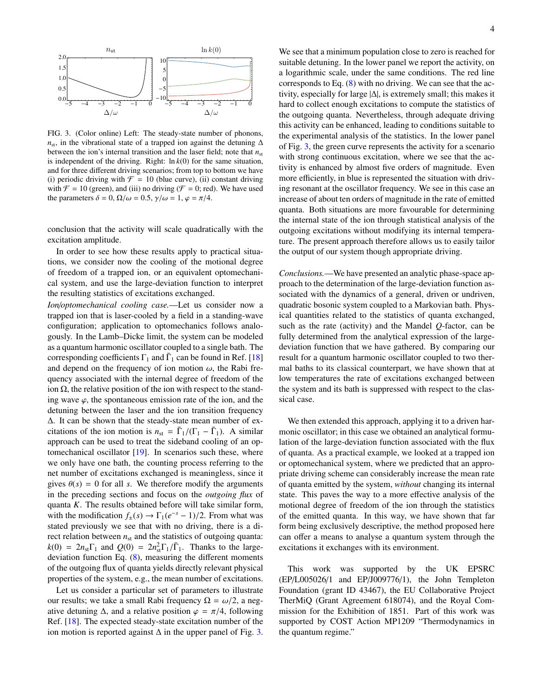

<span id="page-3-0"></span>FIG. 3. (Color online) Left: The steady-state number of phonons,  $n_{\rm st}$ , in the vibrational state of a trapped ion against the detuning  $\Delta$ between the ion's internal transition and the laser field; note that  $n_{\rm st}$ is independent of the driving. Right: ln *k*(0) for the same situation, and for three different driving scenarios; from top to bottom we have (i) periodic driving with  $\mathcal{F} = 10$  (blue curve), (ii) constant driving with  $\mathcal{F} = 10$  (green), and (iii) no driving ( $\mathcal{F} = 0$ ; red). We have used the parameters  $\delta = 0$ ,  $\Omega/\omega = 0.5$ ,  $\gamma/\omega = 1$ ,  $\varphi = \pi/4$ .

conclusion that the activity will scale quadratically with the excitation amplitude.

In order to see how these results apply to practical situations, we consider now the cooling of the motional degree of freedom of a trapped ion, or an equivalent optomechanical system, and use the large-deviation function to interpret the resulting statistics of excitations exchanged.

*Ion*/*optomechanical cooling case.*—Let us consider now a trapped ion that is laser-cooled by a field in a standing-wave configuration; application to optomechanics follows analogously. In the Lamb–Dicke limit, the system can be modeled as a quantum harmonic oscillator coupled to a single bath. The corresponding coefficients  $\Gamma_1$  and  $\overline{\Gamma}_1$  can be found in Ref. [\[18\]](#page-4-17) and depend on the frequency of ion motion  $\omega$ , the Rabi frequency associated with the internal degree of freedom of the ion Ω, the relative position of the ion with respect to the standing wave  $\varphi$ , the spontaneous emission rate of the ion, and the detuning between the laser and the ion transition frequency ∆. It can be shown that the steady-state mean number of excitations of the ion motion is  $n_{st} = \bar{\Gamma}_1/(\Gamma_1 - \bar{\Gamma}_1)$ . A similar approach can be used to treat the sideband cooling of an onapproach can be used to treat the sideband cooling of an optomechanical oscillator [\[19\]](#page-4-18). In scenarios such these, where we only have one bath, the counting process referring to the net number of excitations exchanged is meaningless, since it gives  $\theta(s) = 0$  for all *s*. We therefore modify the arguments in the preceding sections and focus on the *outgoing flux* of quanta *K*. The results obtained before will take similar form, with the modification  $f_{\pm}(s) \rightarrow \Gamma_1(e^{-s} - 1)/2$ . From what was stated previously we see that with no driving there is a distated previously we see that with no driving, there is a direct relation between  $n_{st}$  and the statistics of outgoing quanta:  $k(0) = 2n_{st}\Gamma_1$  and  $Q(0) = 2n_{st}^2\Gamma_1/\overline{\Gamma}_1$ . Thanks to the large-<br>deviation function Eq. (8) measuring the different moments deviation function Eq. [\(8\)](#page-1-3), measuring the different moments of the outgoing flux of quanta yields directly relevant physical properties of the system, e.g., the mean number of excitations.

Let us consider a particular set of parameters to illustrate our results; we take a small Rabi frequency  $\Omega = \omega/2$ , a negative detuning  $\Delta$ , and a relative position  $\varphi = \pi/4$ , following Ref. [\[18\]](#page-4-17). The expected steady-state excitation number of the ion motion is reported against  $\Delta$  in the upper panel of Fig. [3.](#page-3-0)

We see that a minimum population close to zero is reached for suitable detuning. In the lower panel we report the activity, on a logarithmic scale, under the same conditions. The red line corresponds to Eq.  $(8)$  with no driving. We can see that the activity, especially for large |∆|, is extremely small; this makes it hard to collect enough excitations to compute the statistics of the outgoing quanta. Nevertheless, through adequate driving this activity can be enhanced, leading to conditions suitable to the experimental analysis of the statistics. In the lower panel of Fig. [3,](#page-3-0) the green curve represents the activity for a scenario with strong continuous excitation, where we see that the activity is enhanced by almost five orders of magnitude. Even more efficiently, in blue is represented the situation with driving resonant at the oscillator frequency. We see in this case an increase of about ten orders of magnitude in the rate of emitted quanta. Both situations are more favourable for determining the internal state of the ion through statistical analysis of the outgoing excitations without modifying its internal temperature. The present approach therefore allows us to easily tailor the output of our system though appropriate driving.

*Conclusions.*—We have presented an analytic phase-space approach to the determination of the large-deviation function associated with the dynamics of a general, driven or undriven, quadratic bosonic system coupled to a Markovian bath. Physical quantities related to the statistics of quanta exchanged, such as the rate (activity) and the Mandel *Q*-factor, can be fully determined from the analytical expression of the largedeviation function that we have gathered. By comparing our result for a quantum harmonic oscillator coupled to two thermal baths to its classical counterpart, we have shown that at low temperatures the rate of excitations exchanged between the system and its bath is suppressed with respect to the classical case.

We then extended this approach, applying it to a driven harmonic oscillator; in this case we obtained an analytical formulation of the large-deviation function associated with the flux of quanta. As a practical example, we looked at a trapped ion or optomechanical system, where we predicted that an appropriate driving scheme can considerably increase the mean rate of quanta emitted by the system, *without* changing its internal state. This paves the way to a more effective analysis of the motional degree of freedom of the ion through the statistics of the emitted quanta. In this way, we have shown that far form being exclusively descriptive, the method proposed here can offer a means to analyse a quantum system through the excitations it exchanges with its environment.

This work was supported by the UK EPSRC (EP/L005026/1 and EP/J009776/1), the John Templeton Foundation (grant ID 43467), the EU Collaborative Project TherMiQ (Grant Agreement 618074), and the Royal Commission for the Exhibition of 1851. Part of this work was supported by COST Action MP1209 "Thermodynamics in the quantum regime."